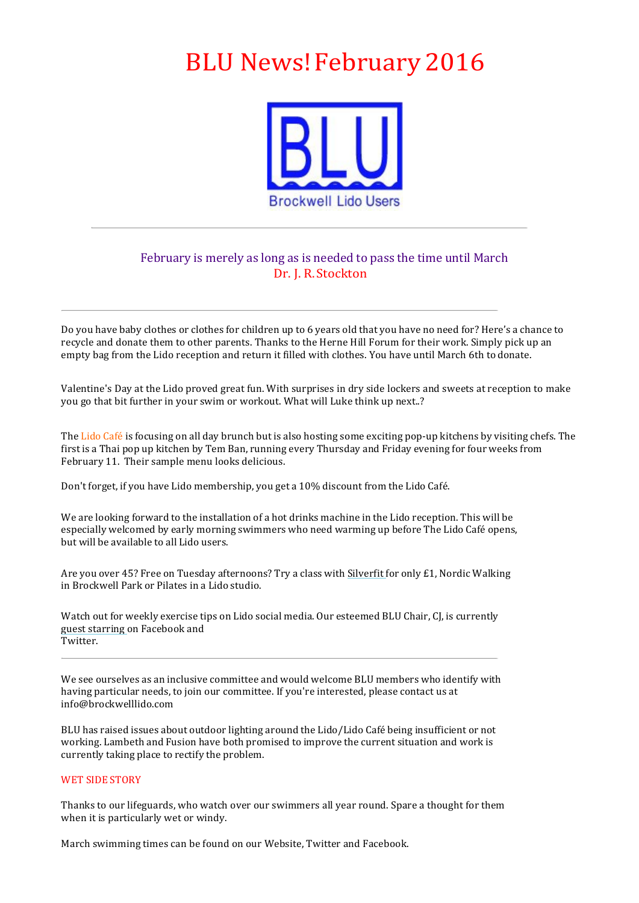# BLU News!February 2016



## February is merely as long as is needed to pass the time until March Dr. J. R. Stockton

Do you have baby clothes or clothes for children up to 6 years old that you have no need for? Here's a chance to recycle and donate them to other parents. Thanks to the Herne Hill Forum for their work. Simply pick up an empty bag from the Lido reception and return it filled with clothes. You have until March 6th to donate.

Valentine's Day at the Lido proved great fun. With surprises in dry side lockers and sweets at reception to make you go that bit further in your swim or workout. What will Luke think up next..?

The Lido Café is focusing on all day brunch but is also hosting some exciting pop-up kitchens by visiting chefs. The first is a Thai pop up kitchen by Tem Ban, running every Thursday and Friday evening for four weeks from February 11. Their sample menu looks delicious.

Don't forget, if you have Lido membership, you get a 10% discount from the Lido Café.

We are looking forward to the installation of a hot drinks machine in the Lido reception. This will be especially welcomed by early morning swimmers who need warming up before The Lido Café opens, but will be available to all Lido users.

Are you over 45? Free on Tuesday afternoons? Try a class with Silverfit for only £1, Nordic Walking in Brockwell Park or Pilates in a Lido studio.

Watch out for weekly exercise tips on Lido social media. Our esteemed BLU Chair, CJ, is currently guest starring on Facebook and Twitter.

We see ourselves as an inclusive committee and would welcome BLU members who identify with having particular needs, to join our committee. If you're interested, please contact us at info@brockwelllido.com

BLU has raised issues about outdoor lighting around the Lido/Lido Café being insufficient or not working. Lambeth and Fusion have both promised to improve the current situation and work is currently taking place to rectify the problem.

### WET SIDE STORY

Thanks to our lifeguards, who watch over our swimmers all year round. Spare a thought for them when it is particularly wet or windy.

March swimming times can be found on our Website. Twitter and Facebook.